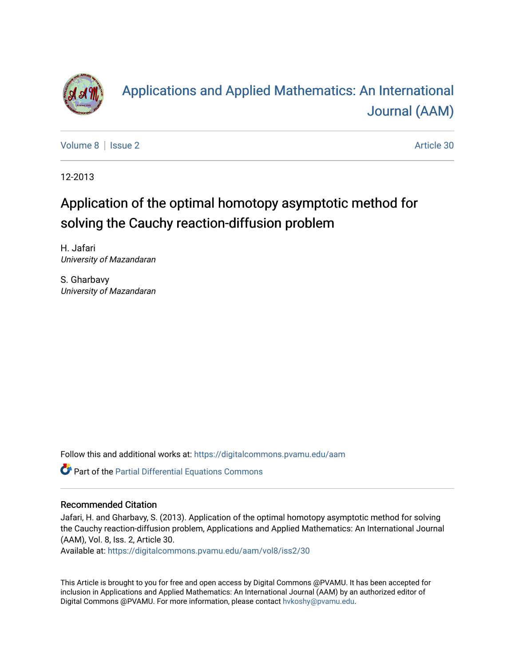

# [Applications and Applied Mathematics: An International](https://digitalcommons.pvamu.edu/aam)  [Journal \(AAM\)](https://digitalcommons.pvamu.edu/aam)

[Volume 8](https://digitalcommons.pvamu.edu/aam/vol8) | [Issue 2](https://digitalcommons.pvamu.edu/aam/vol8/iss2) Article 30

12-2013

# Application of the optimal homotopy asymptotic method for solving the Cauchy reaction-diffusion problem

H. Jafari University of Mazandaran

S. Gharbavy University of Mazandaran

Follow this and additional works at: [https://digitalcommons.pvamu.edu/aam](https://digitalcommons.pvamu.edu/aam?utm_source=digitalcommons.pvamu.edu%2Faam%2Fvol8%2Fiss2%2F30&utm_medium=PDF&utm_campaign=PDFCoverPages) 

Part of the [Partial Differential Equations Commons](http://network.bepress.com/hgg/discipline/120?utm_source=digitalcommons.pvamu.edu%2Faam%2Fvol8%2Fiss2%2F30&utm_medium=PDF&utm_campaign=PDFCoverPages) 

## Recommended Citation

Jafari, H. and Gharbavy, S. (2013). Application of the optimal homotopy asymptotic method for solving the Cauchy reaction-diffusion problem, Applications and Applied Mathematics: An International Journal (AAM), Vol. 8, Iss. 2, Article 30.

Available at: [https://digitalcommons.pvamu.edu/aam/vol8/iss2/30](https://digitalcommons.pvamu.edu/aam/vol8/iss2/30?utm_source=digitalcommons.pvamu.edu%2Faam%2Fvol8%2Fiss2%2F30&utm_medium=PDF&utm_campaign=PDFCoverPages) 

This Article is brought to you for free and open access by Digital Commons @PVAMU. It has been accepted for inclusion in Applications and Applied Mathematics: An International Journal (AAM) by an authorized editor of Digital Commons @PVAMU. For more information, please contact [hvkoshy@pvamu.edu.](mailto:hvkoshy@pvamu.edu)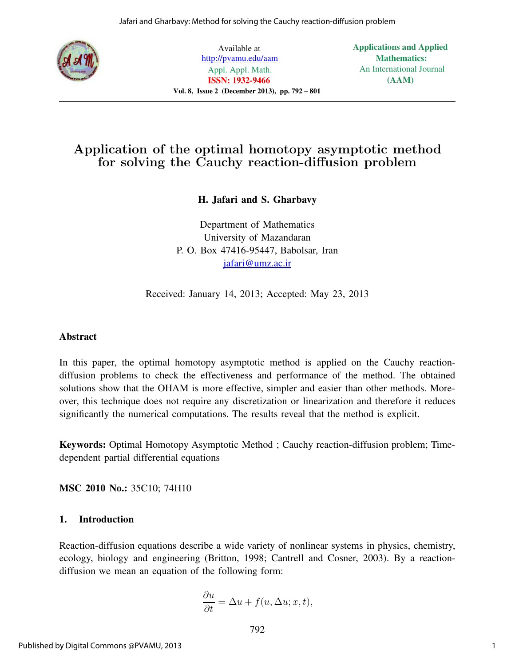

Available at http://pvamu.edu/aam Appl. Appl. Math. ISSN: 1932-9466 Vol. 8, Issue 2 (December 2013), pp. 792 – 801 Applications and Applied Mathematics: An International Journal (AAM)

# Application of the optimal homotopy asymptotic method for solving the Cauchy reaction-diffusion problem

# H. Jafari and S. Gharbavy

Department of Mathematics University of Mazandaran P. O. Box 47416-95447, Babolsar, Iran jafari@umz.ac.ir

Received: January 14, 2013; Accepted: May 23, 2013

## Abstract

In this paper, the optimal homotopy asymptotic method is applied on the Cauchy reactiondiffusion problems to check the effectiveness and performance of the method. The obtained solutions show that the OHAM is more effective, simpler and easier than other methods. Moreover, this technique does not require any discretization or linearization and therefore it reduces significantly the numerical computations. The results reveal that the method is explicit.

Keywords: Optimal Homotopy Asymptotic Method ; Cauchy reaction-diffusion problem; Timedependent partial differential equations

MSC 2010 No.: 35C10; 74H10

## 1. Introduction

Reaction-diffusion equations describe a wide variety of nonlinear systems in physics, chemistry, ecology, biology and engineering (Britton, 1998; Cantrell and Cosner, 2003). By a reactiondiffusion we mean an equation of the following form:

$$
\frac{\partial u}{\partial t} = \Delta u + f(u, \Delta u; x, t),
$$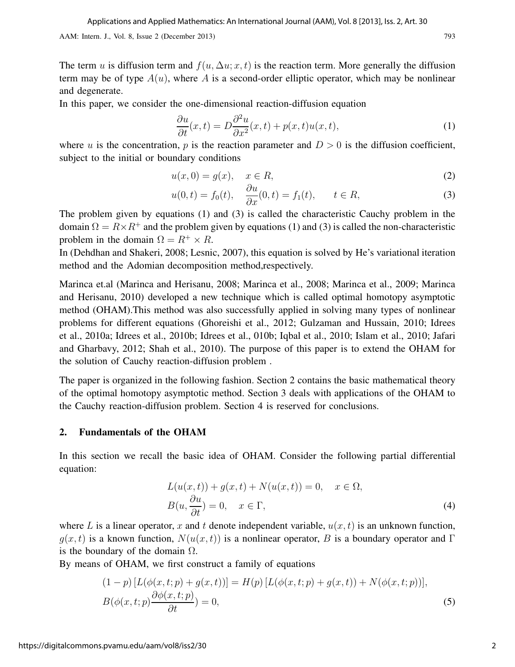The term u is diffusion term and  $f(u, \Delta u; x, t)$  is the reaction term. More generally the diffusion term may be of type  $A(u)$ , where A is a second-order elliptic operator, which may be nonlinear and degenerate.

In this paper, we consider the one-dimensional reaction-diffusion equation

$$
\frac{\partial u}{\partial t}(x,t) = D \frac{\partial^2 u}{\partial x^2}(x,t) + p(x,t)u(x,t),\tag{1}
$$

where u is the concentration, p is the reaction parameter and  $D > 0$  is the diffusion coefficient, subject to the initial or boundary conditions

$$
u(x,0) = g(x), \quad x \in R,\tag{2}
$$

$$
u(0, t) = f_0(t), \quad \frac{\partial u}{\partial x}(0, t) = f_1(t), \quad t \in R,
$$
 (3)

The problem given by equations (1) and (3) is called the characteristic Cauchy problem in the domain  $\Omega = R \times R^+$  and the problem given by equations (1) and (3) is called the non-characteristic problem in the domain  $\Omega = R^+ \times R$ .

In (Dehdhan and Shakeri, 2008; Lesnic, 2007), this equation is solved by He's variational iteration method and the Adomian decomposition method,respectively.

Marinca et.al (Marinca and Herisanu, 2008; Marinca et al., 2008; Marinca et al., 2009; Marinca and Herisanu, 2010) developed a new technique which is called optimal homotopy asymptotic method (OHAM).This method was also successfully applied in solving many types of nonlinear problems for different equations (Ghoreishi et al., 2012; Gulzaman and Hussain, 2010; Idrees et al., 2010a; Idrees et al., 2010b; Idrees et al., 010b; Iqbal et al., 2010; Islam et al., 2010; Jafari and Gharbavy, 2012; Shah et al., 2010). The purpose of this paper is to extend the OHAM for the solution of Cauchy reaction-diffusion problem .

The paper is organized in the following fashion. Section 2 contains the basic mathematical theory of the optimal homotopy asymptotic method. Section 3 deals with applications of the OHAM to the Cauchy reaction-diffusion problem. Section 4 is reserved for conclusions.

#### 2. Fundamentals of the OHAM

In this section we recall the basic idea of OHAM. Consider the following partial differential equation:

$$
L(u(x,t)) + g(x,t) + N(u(x,t)) = 0, \quad x \in \Omega,
$$
  
\n
$$
B(u, \frac{\partial u}{\partial t}) = 0, \quad x \in \Gamma,
$$
\n(4)

where L is a linear operator, x and t denote independent variable,  $u(x, t)$  is an unknown function,  $q(x, t)$  is a known function,  $N(u(x, t))$  is a nonlinear operator, B is a boundary operator and Γ is the boundary of the domain  $\Omega$ .

By means of OHAM, we first construct a family of equations

$$
(1-p) [L(\phi(x,t;p) + g(x,t))] = H(p) [L(\phi(x,t;p) + g(x,t)) + N(\phi(x,t;p))],
$$
  
\n
$$
B(\phi(x,t;p) \frac{\partial \phi(x,t;p)}{\partial t}) = 0,
$$
\n(5)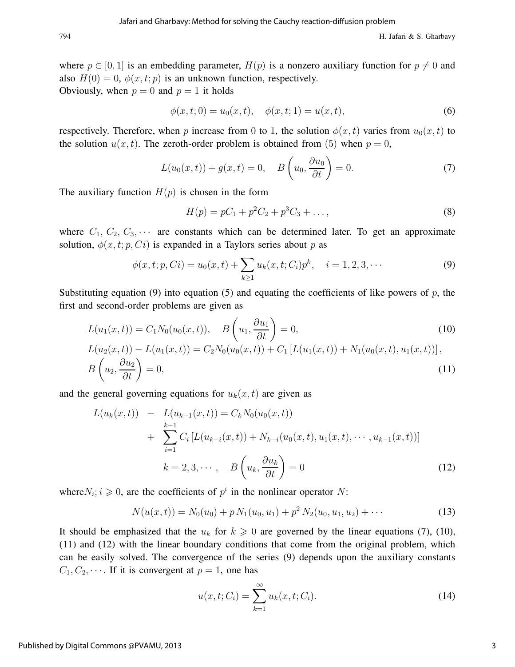where  $p \in [0, 1]$  is an embedding parameter,  $H(p)$  is a nonzero auxiliary function for  $p \neq 0$  and also  $H(0) = 0$ ,  $\phi(x, t; p)$  is an unknown function, respectively. Obviously, when  $p = 0$  and  $p = 1$  it holds

$$
\phi(x,t;0) = u_0(x,t), \quad \phi(x,t;1) = u(x,t), \tag{6}
$$

respectively. Therefore, when p increase from 0 to 1, the solution  $\phi(x, t)$  varies from  $u_0(x, t)$  to the solution  $u(x, t)$ . The zeroth-order problem is obtained from (5) when  $p = 0$ ,

$$
L(u_0(x,t)) + g(x,t) = 0, \quad B\left(u_0, \frac{\partial u_0}{\partial t}\right) = 0.
$$
 (7)

The auxiliary function  $H(p)$  is chosen in the form

$$
H(p) = pC_1 + p^2C_2 + p^3C_3 + \dots,
$$
\n(8)

where  $C_1, C_2, C_3, \cdots$  are constants which can be determined later. To get an approximate solution,  $\phi(x, t; p, Ci)$  is expanded in a Taylors series about p as

$$
\phi(x, t; p, Ci) = u_0(x, t) + \sum_{k \ge 1} u_k(x, t; C_i) p^k, \quad i = 1, 2, 3, \cdots
$$
 (9)

Substituting equation (9) into equation (5) and equating the coefficients of like powers of  $p$ , the first and second-order problems are given as

$$
L(u_1(x,t)) = C_1 N_0(u_0(x,t)), \quad B\left(u_1, \frac{\partial u_1}{\partial t}\right) = 0,
$$
\n
$$
L(u_2(x,t)) - L(u_1(x,t)) = C_2 N_0(u_0(x,t)) + C_1 \left[L(u_1(x,t)) + N_1(u_0(x,t), u_1(x,t))\right],
$$
\n
$$
B\left(u_2, \frac{\partial u_2}{\partial t}\right) = 0,
$$
\n(11)

and the general governing equations for  $u_k(x, t)$  are given as

$$
L(u_k(x,t)) - L(u_{k-1}(x,t)) = C_k N_0(u_0(x,t))
$$
  
+ 
$$
\sum_{i=1}^{k-1} C_i [L(u_{k-i}(x,t)) + N_{k-i}(u_0(x,t), u_1(x,t), \cdots, u_{k-1}(x,t))]
$$
  

$$
k = 2, 3, \cdots, B\left(u_k, \frac{\partial u_k}{\partial t}\right) = 0
$$
 (12)

where  $N_i$ ;  $i \geq 0$ , are the coefficients of  $p^i$  in the nonlinear operator N:

$$
N(u(x,t)) = N_0(u_0) + p N_1(u_0, u_1) + p^2 N_2(u_0, u_1, u_2) + \cdots
$$
 (13)

It should be emphasized that the  $u_k$  for  $k \geq 0$  are governed by the linear equations (7), (10), (11) and (12) with the linear boundary conditions that come from the original problem, which can be easily solved. The convergence of the series (9) depends upon the auxiliary constants  $C_1, C_2, \cdots$ . If it is convergent at  $p = 1$ , one has

$$
u(x, t; C_i) = \sum_{k=1}^{\infty} u_k(x, t; C_i).
$$
 (14)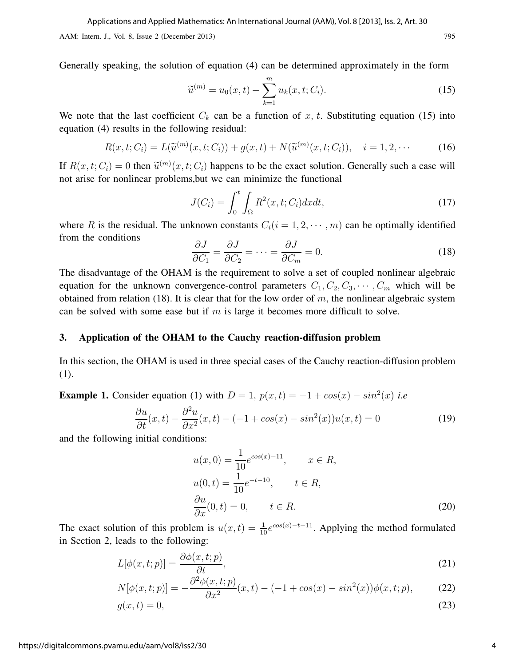Generally speaking, the solution of equation (4) can be determined approximately in the form

$$
\widetilde{u}^{(m)} = u_0(x, t) + \sum_{k=1}^{m} u_k(x, t; C_i).
$$
\n(15)

We note that the last coefficient  $C_k$  can be a function of x, t. Substituting equation (15) into equation (4) results in the following residual:

$$
R(x, t; C_i) = L(\widetilde{u}^{(m)}(x, t; C_i)) + g(x, t) + N(\widetilde{u}^{(m)}(x, t; C_i)), \quad i = 1, 2, \cdots
$$
 (16)

If  $R(x, t; C_i) = 0$  then  $\tilde{u}^{(m)}(x, t; C_i)$  happens to be the exact solution. Generally such a case will not arise for nonlinear problems,but we can minimize the functional

$$
J(C_i) = \int_0^t \int_{\Omega} R^2(x, t; C_i) dx dt,
$$
\n(17)

where R is the residual. The unknown constants  $C_i(i = 1, 2, \dots, m)$  can be optimally identified from the conditions

$$
\frac{\partial J}{\partial C_1} = \frac{\partial J}{\partial C_2} = \dots = \frac{\partial J}{\partial C_m} = 0.
$$
\n(18)

The disadvantage of the OHAM is the requirement to solve a set of coupled nonlinear algebraic equation for the unknown convergence-control parameters  $C_1, C_2, C_3, \cdots, C_m$  which will be obtained from relation (18). It is clear that for the low order of  $m$ , the nonlinear algebraic system can be solved with some ease but if  $m$  is large it becomes more difficult to solve.

#### 3. Application of the OHAM to the Cauchy reaction-diffusion problem

In this section, the OHAM is used in three special cases of the Cauchy reaction-diffusion problem (1).

**Example 1.** Consider equation (1) with  $D = 1$ ,  $p(x,t) = -1 + cos(x) - sin^2(x)$  i.e

$$
\frac{\partial u}{\partial t}(x,t) - \frac{\partial^2 u}{\partial x^2}(x,t) - (-1 + \cos(x) - \sin^2(x))u(x,t) = 0
$$
\n(19)

and the following initial conditions:

$$
u(x, 0) = \frac{1}{10}e^{\cos(x) - 11}, \qquad x \in R,
$$
  
\n
$$
u(0, t) = \frac{1}{10}e^{-t - 10}, \qquad t \in R,
$$
  
\n
$$
\frac{\partial u}{\partial x}(0, t) = 0, \qquad t \in R.
$$
\n(20)

The exact solution of this problem is  $u(x,t) = \frac{1}{10}e^{\cos(x)-t-1}$ . Applying the method formulated in Section 2, leads to the following:

$$
L[\phi(x,t;p)] = \frac{\partial \phi(x,t;p)}{\partial t},\tag{21}
$$

$$
N[\phi(x,t;p)] = -\frac{\partial^2 \phi(x,t;p)}{\partial x^2}(x,t) - (-1 + \cos(x) - \sin^2(x))\phi(x,t;p),
$$
 (22)

$$
g(x,t) = 0,\t(23)
$$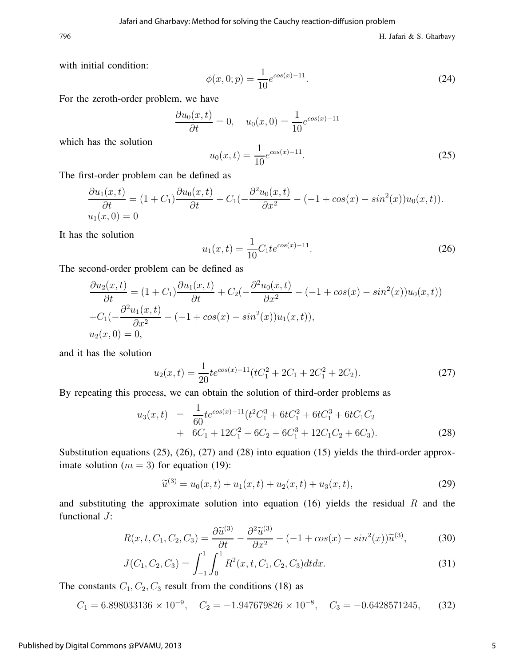796 H. Jafari & S. Gharbavy

with initial condition:

$$
\phi(x,0;p) = \frac{1}{10} e^{\cos(x)-11}.
$$
\n(24)

For the zeroth-order problem, we have

$$
\frac{\partial u_0(x,t)}{\partial t} = 0, \quad u_0(x,0) = \frac{1}{10}e^{\cos(x)-11}
$$

which has the solution

$$
u_0(x,t) = \frac{1}{10}e^{\cos(x)-11}.
$$
 (25)

The first-order problem can be defined as

$$
\frac{\partial u_1(x,t)}{\partial t} = (1+C_1)\frac{\partial u_0(x,t)}{\partial t} + C_1(-\frac{\partial^2 u_0(x,t)}{\partial x^2} - (-1 + \cos(x) - \sin^2(x))u_0(x,t)).
$$
  
  $u_1(x,0) = 0$ 

It has the solution

$$
u_1(x,t) = \frac{1}{10} C_1 t e^{\cos(x) - 11}.
$$
\n(26)

The second-order problem can be defined as

$$
\frac{\partial u_2(x,t)}{\partial t} = (1+C_1) \frac{\partial u_1(x,t)}{\partial t} + C_2(-\frac{\partial^2 u_0(x,t)}{\partial x^2} - (-1 + \cos(x) - \sin^2(x))u_0(x,t))
$$
  
+  $C_1(-\frac{\partial^2 u_1(x,t)}{\partial x^2} - (-1 + \cos(x) - \sin^2(x))u_1(x,t)),$   
 $u_2(x,0) = 0,$ 

and it has the solution

$$
u_2(x,t) = \frac{1}{20} t e^{\cos(x) - 11} (tC_1^2 + 2C_1 + 2C_1^2 + 2C_2).
$$
 (27)

By repeating this process, we can obtain the solution of third-order problems as

$$
u_3(x,t) = \frac{1}{60}te^{\cos(x)-11}(t^2C_1^3 + 6tC_1^2 + 6tC_1^3 + 6tC_1C_2 + 6C_1 + 12C_1^2 + 6C_2 + 6C_1^3 + 12C_1C_2 + 6C_3).
$$
\n(28)

Substitution equations (25), (26), (27) and (28) into equation (15) yields the third-order approximate solution ( $m = 3$ ) for equation (19):

$$
\widetilde{u}^{(3)} = u_0(x, t) + u_1(x, t) + u_2(x, t) + u_3(x, t), \tag{29}
$$

and substituting the approximate solution into equation (16) yields the residual  $R$  and the functional J:

$$
R(x, t, C_1, C_2, C_3) = \frac{\partial \tilde{u}^{(3)}}{\partial t} - \frac{\partial^2 \tilde{u}^{(3)}}{\partial x^2} - (-1 + \cos(x) - \sin^2(x))\tilde{u}^{(3)},\tag{30}
$$

$$
J(C_1, C_2, C_3) = \int_{-1}^{1} \int_{0}^{1} R^2(x, t, C_1, C_2, C_3) dt dx.
$$
 (31)

The constants  $C_1, C_2, C_3$  result from the conditions (18) as

$$
C_1 = 6.898033136 \times 10^{-9}, \quad C_2 = -1.947679826 \times 10^{-8}, \quad C_3 = -0.6428571245, \tag{32}
$$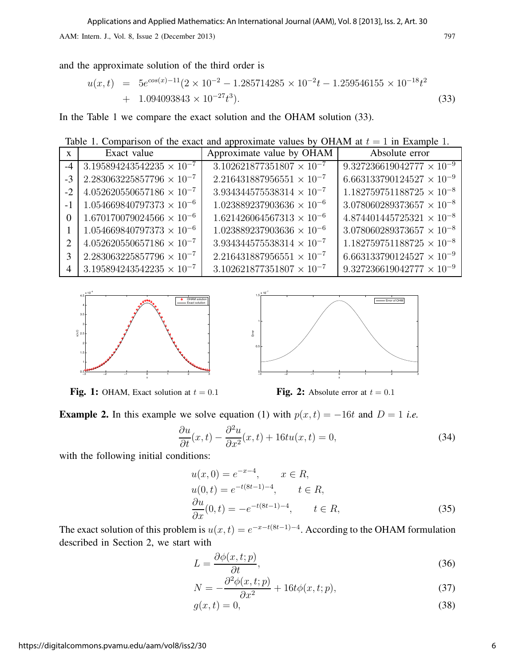and the approximate solution of the third order is

$$
u(x,t) = 5e^{\cos(x)-11}(2 \times 10^{-2} - 1.285714285 \times 10^{-2}t - 1.259546155 \times 10^{-18}t^2
$$
  
+ 1.094093843 \times 10^{-27}t^3). (33)

In the Table 1 we compare the exact solution and the OHAM solution (33).

Table 1. Comparison of the exact and approximate values by OHAM at  $t = 1$  in Example 1.

| $\mathbf{X}$ | Exact value                                      | Approximate value by OHAM          | Absolute error                     |
|--------------|--------------------------------------------------|------------------------------------|------------------------------------|
|              | $-4$ 3.195894243542235 $\times$ 10 <sup>-7</sup> | $3.102621877351807 \times 10^{-7}$ | $9.327236619042777 \times 10^{-9}$ |
| $-3$         | $2.283063225857796 \times 10^{-7}$               | $2.216431887956551 \times 10^{-7}$ | $6.663133790124527 \times 10^{-9}$ |
| $-2$         | $4.052620550657186 \times 10^{-7}$               | $3.934344575538314 \times 10^{-7}$ | $1.182759751188725 \times 10^{-8}$ |
|              | $1.054669840797373 \times 10^{-6}$               | $1.023889237903636 \times 10^{-6}$ | $3.078060289373657 \times 10^{-8}$ |
| $\Omega$     | $1.670170079024566 \times 10^{-6}$               | $1.621426064567313 \times 10^{-6}$ | $4.874401445725321 \times 10^{-8}$ |
|              | $1.054669840797373 \times 10^{-6}$               | $1.023889237903636 \times 10^{-6}$ | $3.078060289373657 \times 10^{-8}$ |
| 2            | $4.052620550657186 \times 10^{-7}$               | $3.934344575538314 \times 10^{-7}$ | $1.182759751188725 \times 10^{-8}$ |
| 3            | $2.283063225857796 \times 10^{-7}$               | $2.216431887956551 \times 10^{-7}$ | $6.663133790124527 \times 10^{-9}$ |
| 4            | $3.195894243542235 \times 10^{-7}$               | $3.102621877351807 \times 10^{-7}$ | $9.327236619042777 \times 10^{-9}$ |





**Fig. 1:** OHAM, Exact solution at  $t = 0.1$  **Fig. 2:** Absolute error at  $t = 0.1$ 

**Example 2.** In this example we solve equation (1) with  $p(x, t) = -16t$  and  $D = 1$  i.e.

$$
\frac{\partial u}{\partial t}(x,t) - \frac{\partial^2 u}{\partial x^2}(x,t) + 16tu(x,t) = 0,\t(34)
$$

with the following initial conditions:

$$
u(x, 0) = e^{-x-4}, \qquad x \in R,
$$
  
\n
$$
u(0, t) = e^{-t(8t-1)-4}, \qquad t \in R,
$$
  
\n
$$
\frac{\partial u}{\partial x}(0, t) = -e^{-t(8t-1)-4}, \qquad t \in R,
$$
\n(35)

The exact solution of this problem is  $u(x,t) = e^{-x-t(8t-1)-4}$ . According to the OHAM formulation described in Section 2, we start with

$$
L = \frac{\partial \phi(x, t; p)}{\partial t},\tag{36}
$$

$$
N = -\frac{\partial^2 \phi(x, t; p)}{\partial x^2} + 16t\phi(x, t; p),\tag{37}
$$

$$
g(x,t) = 0,\t\t(38)
$$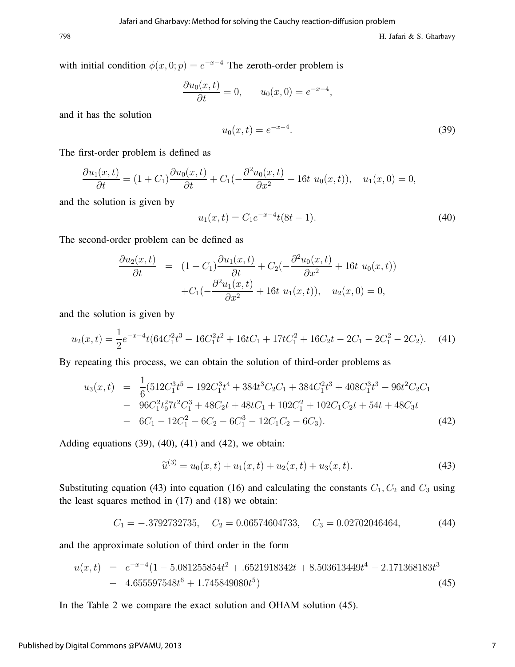with initial condition  $\phi(x, 0; p) = e^{-x-4}$  The zeroth-order problem is

$$
\frac{\partial u_0(x,t)}{\partial t} = 0, \qquad u_0(x,0) = e^{-x-4},
$$

and it has the solution

$$
u_0(x,t) = e^{-x-4}.\tag{39}
$$

The first-order problem is defined as

$$
\frac{\partial u_1(x,t)}{\partial t} = (1+C_1)\frac{\partial u_0(x,t)}{\partial t} + C_1(-\frac{\partial^2 u_0(x,t)}{\partial x^2} + 16t \ u_0(x,t)), \quad u_1(x,0) = 0,
$$

and the solution is given by

$$
u_1(x,t) = C_1 e^{-x-4} t(8t - 1).
$$
\n(40)

The second-order problem can be defined as

$$
\frac{\partial u_2(x,t)}{\partial t} = (1+C_1) \frac{\partial u_1(x,t)}{\partial t} + C_2(-\frac{\partial^2 u_0(x,t)}{\partial x^2} + 16t \ u_0(x,t)) \n+ C_1(-\frac{\partial^2 u_1(x,t)}{\partial x^2} + 16t \ u_1(x,t)), \quad u_2(x,0) = 0,
$$

and the solution is given by

$$
u_2(x,t) = \frac{1}{2}e^{-x-4}t(64C_1^2t^3 - 16C_1^2t^2 + 16tC_1 + 17tC_1^2 + 16C_2t - 2C_1 - 2C_1^2 - 2C_2). \tag{41}
$$

By repeating this process, we can obtain the solution of third-order problems as

$$
u_3(x,t) = \frac{1}{6}(512C_1^3t^5 - 192C_1^3t^4 + 384t^3C_2C_1 + 384C_1^2t^3 + 408C_1^3t^3 - 96t^2C_2C_1 - 96C_1^2t_9^27t^2C_1^3 + 48C_2t + 48tC_1 + 102C_1^2 + 102C_1C_2t + 54t + 48C_3t - 6C_1 - 12C_1^2 - 6C_2 - 6C_1^3 - 12C_1C_2 - 6C_3).
$$
\n(42)

Adding equations  $(39)$ ,  $(40)$ ,  $(41)$  and  $(42)$ , we obtain:

$$
\widetilde{u}^{(3)} = u_0(x, t) + u_1(x, t) + u_2(x, t) + u_3(x, t). \tag{43}
$$

Substituting equation (43) into equation (16) and calculating the constants  $C_1, C_2$  and  $C_3$  using the least squares method in (17) and (18) we obtain:

$$
C_1 = -.3792732735, \quad C_2 = 0.06574604733, \quad C_3 = 0.02702046464,\tag{44}
$$

and the approximate solution of third order in the form

$$
u(x,t) = e^{-x-4}(1 - 5.081255854t^2 + .6521918342t + 8.503613449t^4 - 2.171368183t^3 - 4.655597548t^6 + 1.745849080t^5)
$$
\n(45)

In the Table 2 we compare the exact solution and OHAM solution (45).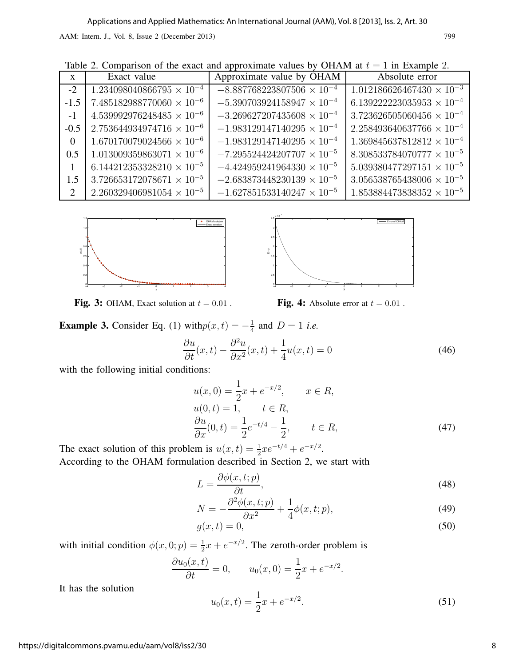|  |  |  |  |  | Table 2. Comparison of the exact and approximate values by OHAM at $t = 1$ in Example 2. |  |  |
|--|--|--|--|--|------------------------------------------------------------------------------------------|--|--|
|--|--|--|--|--|------------------------------------------------------------------------------------------|--|--|

| $\mathbf{x}$ | Exact value                        | Approximate value by OHAM           | Absolute error                     |
|--------------|------------------------------------|-------------------------------------|------------------------------------|
| $-2$         | $1.234098040866795 \times 10^{-4}$ | $-8.887768223807506 \times 10^{-4}$ | $1.012186626467430 \times 10^{-3}$ |
| $-1.5$       | $7.485182988770060\times10^{-6}$   | $-5.390703924158947 \times 10^{-4}$ | $6.139222223035953 \times 10^{-4}$ |
| $-1$         | $4.539992976248485 \times 10^{-6}$ | $-3.269627207435608 \times 10^{-4}$ | $3.723626505060456 \times 10^{-4}$ |
| $-0.5$       | $2.753644934974716 \times 10^{-6}$ | $-1.983129147140295 \times 10^{-4}$ | $2.258493640637766 \times 10^{-4}$ |
| $\Omega$     | $1.670170079024566 \times 10^{-6}$ | $-1.983129147140295 \times 10^{-4}$ | $1.369845637812812 \times 10^{-4}$ |
| 0.5          | $1.013009359863071 \times 10^{-6}$ | $-7.295524424207707 \times 10^{-5}$ | $8.308533784070777 \times 10^{-5}$ |
|              | $6.144212353328210 \times 10^{-5}$ | $-4.424959241964330 \times 10^{-5}$ | $5.039380477297151 \times 10^{-5}$ |
| 1.5          | $3.726653172078671\times 10^{-5}$  | $-2.683873448230139 \times 10^{-5}$ | $3.056538765438006 \times 10^{-5}$ |
| 2            | $2.260329406981054 \times 10^{-5}$ | $-1.627851533140247 \times 10^{-5}$ | $1.853884473838352 \times 10^{-5}$ |





Fig. 3: OHAM, Exact solution at  $t = 0.01$ . Fig. 4: Absolute error at  $t = 0.01$ .

**Example 3.** Consider Eq. (1) with  $p(x,t) = -\frac{1}{4}$  $\frac{1}{4}$  and  $D = 1$  *i.e.* 

$$
\frac{\partial u}{\partial t}(x,t) - \frac{\partial^2 u}{\partial x^2}(x,t) + \frac{1}{4}u(x,t) = 0
$$
\n(46)

with the following initial conditions:

$$
u(x, 0) = \frac{1}{2}x + e^{-x/2}, \qquad x \in R,
$$
  
\n
$$
u(0, t) = 1, \qquad t \in R,
$$
  
\n
$$
\frac{\partial u}{\partial x}(0, t) = \frac{1}{2}e^{-t/4} - \frac{1}{2}, \qquad t \in R,
$$
\n(47)

The exact solution of this problem is  $u(x,t) = \frac{1}{2}xe^{-t/4} + e^{-x/2}$ . According to the OHAM formulation described in Section 2, we start with

$$
L = \frac{\partial \phi(x, t; p)}{\partial t},\tag{48}
$$

$$
N = -\frac{\partial^2 \phi(x, t; p)}{\partial x^2} + \frac{1}{4} \phi(x, t; p),\tag{49}
$$

$$
g(x,t) = 0,\tag{50}
$$

with initial condition  $\phi(x, 0; p) = \frac{1}{2}x + e^{-x/2}$ . The zeroth-order problem is

$$
\frac{\partial u_0(x,t)}{\partial t} = 0, \qquad u_0(x,0) = \frac{1}{2}x + e^{-x/2}.
$$

It has the solution

$$
u_0(x,t) = \frac{1}{2}x + e^{-x/2}.
$$
\n(51)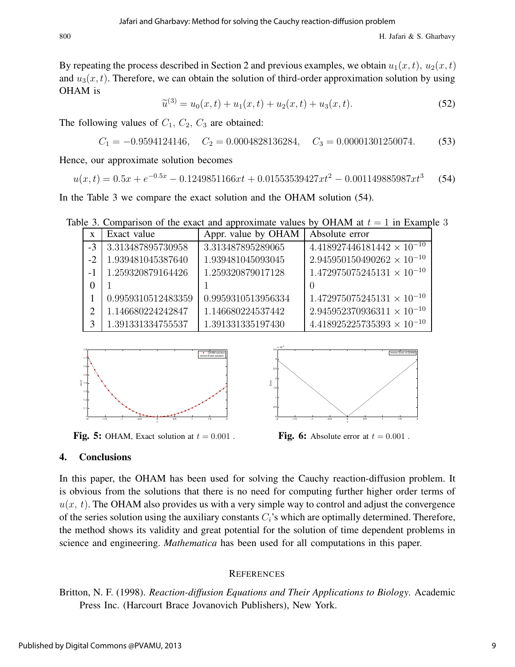By repeating the process described in Section 2 and previous examples, we obtain  $u_1(x, t)$ ,  $u_2(x, t)$ and  $u_3(x, t)$ . Therefore, we can obtain the solution of third-order approximation solution by using OHAM is

$$
\widetilde{u}^{(3)} = u_0(x, t) + u_1(x, t) + u_2(x, t) + u_3(x, t). \tag{52}
$$

The following values of  $C_1$ ,  $C_2$ ,  $C_3$  are obtained:

 $C_1 = -0.9594124146, \quad C_2 = 0.0004828136284, \quad C_3 = 0.00001301250074.$  (53)

Hence, our approximate solution becomes

$$
u(x,t) = 0.5x + e^{-0.5x} - 0.1249851166xt + 0.01553539427xt^2 - 0.001149885987xt^3
$$
 (54)

In the Table 3 we compare the exact solution and the OHAM solution (54).

Table 3. Comparison of the exact and approximate values by OHAM at  $t = 1$  in Example 3

|      | Exact value        | Appr. value by OHAM | Absolute error                      |
|------|--------------------|---------------------|-------------------------------------|
| $-3$ | 3.313487895730958  | 3.313487895289065   | $4.418927446181442 \times 10^{-10}$ |
| $-2$ | 1.939481045387640  | 1.939481045093045   | $2.945950150490262 \times 10^{-10}$ |
|      | 1.259320879164426  | 1.259320879017128   | $1.472975075245131 \times 10^{-10}$ |
| 0    |                    |                     |                                     |
|      | 0.9959310512483359 | 0.9959310513956334  | $1.472975075245131 \times 10^{-10}$ |
|      | 1.146680224242847  | 1.146680224537442   | $2.945952370936311 \times 10^{-10}$ |
|      | 1.391331334755537  | 1.391331335197430   | $4.418925225735393 \times 10^{-10}$ |





**Fig. 5:** OHAM, Exact solution at  $t = 0.001$ . **Fig. 6:** Absolute error at  $t = 0.001$ .



#### 4. Conclusions

In this paper, the OHAM has been used for solving the Cauchy reaction-diffusion problem. It is obvious from the solutions that there is no need for computing further higher order terms of  $u(x, t)$ . The OHAM also provides us with a very simple way to control and adjust the convergence of the series solution using the auxiliary constants  $C_i$ 's which are optimally determined. Therefore, the method shows its validity and great potential for the solution of time dependent problems in science and engineering. *Mathematica* has been used for all computations in this paper.

#### **REFERENCES**

Britton, N. F. (1998). Reaction-diffusion Equations and Their Applications to Biology. Academic Press Inc. (Harcourt Brace Jovanovich Publishers), New York.